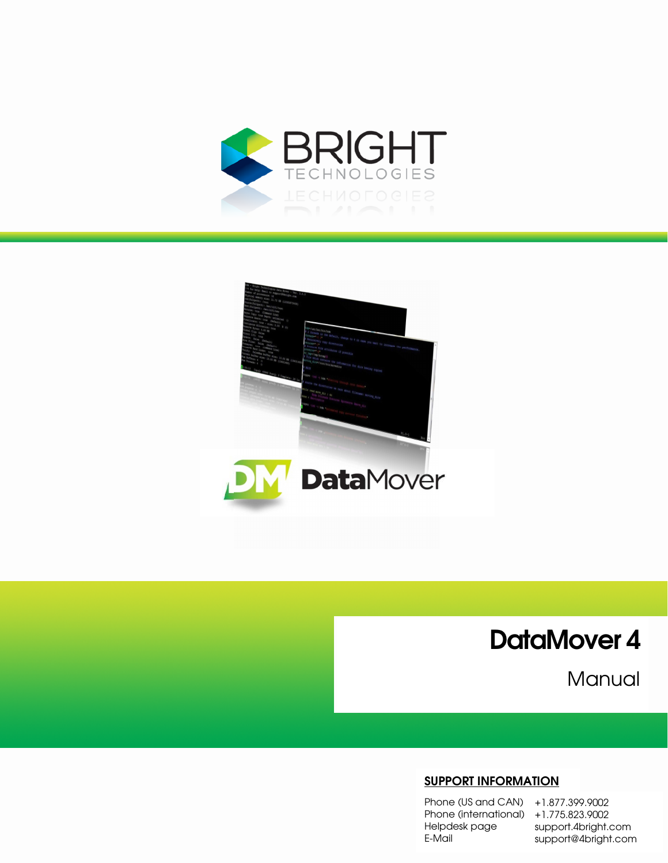



DataMover 4

Manual

#### **SUPPORT INFORMATION**

Phone (US and CAN) +1.877.399.9002 Phone (international) +1.775.823.9002 Helpdesk page E-Mail

support.4bright.com support@4bright.com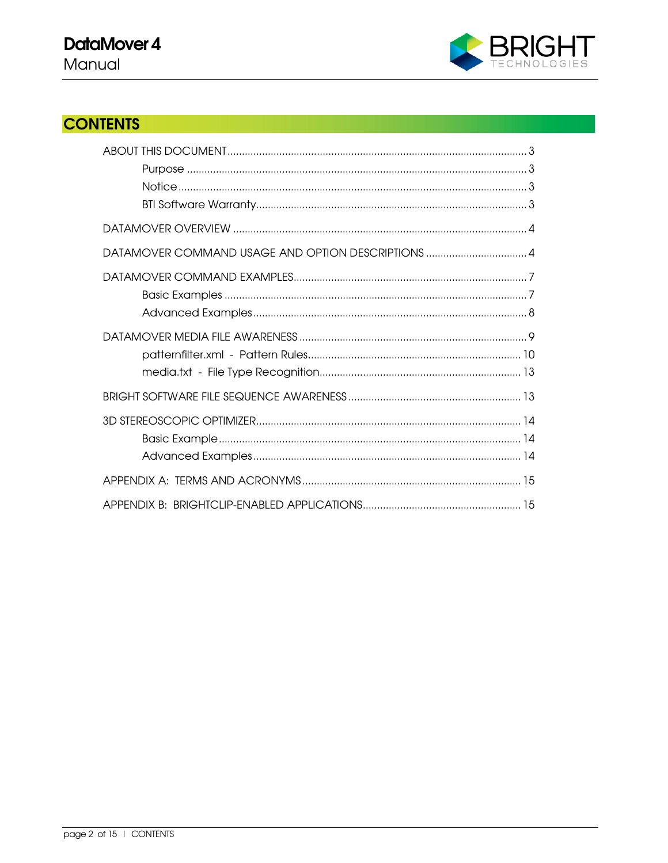

# **CONTENTS**

| DATAMOVER COMMAND USAGE AND OPTION DESCRIPTIONS  4 |
|----------------------------------------------------|
|                                                    |
|                                                    |
|                                                    |
|                                                    |
|                                                    |
|                                                    |
|                                                    |
|                                                    |
|                                                    |
|                                                    |
|                                                    |
|                                                    |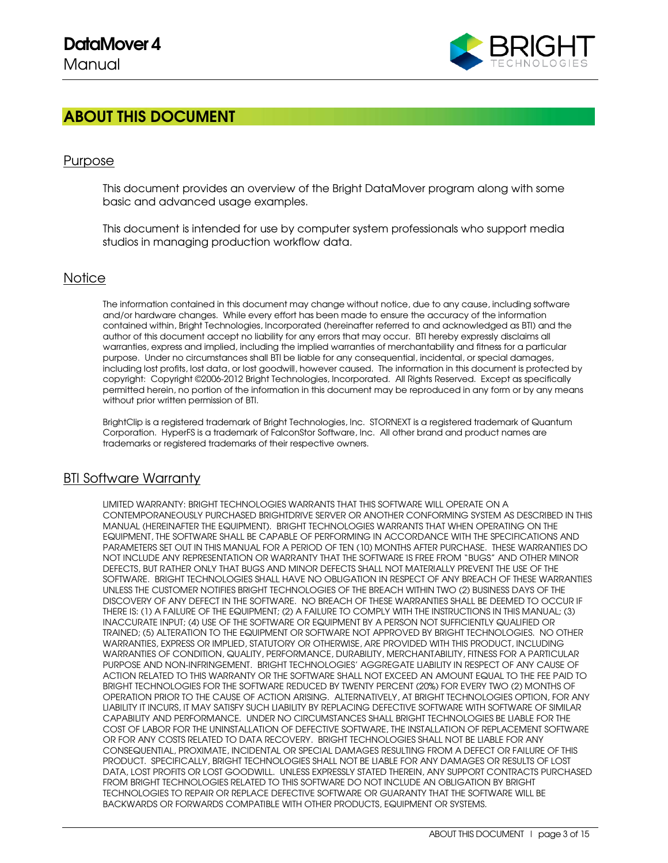

## ABOUT THIS DOCUMENT

### Purpose

This document provides an overview of the Bright DataMover program along with some basic and advanced usage examples.

This document is intended for use by computer system professionals who support media studios in managing production workflow data.

#### **Notice**

The information contained in this document may change without notice, due to any cause, including software and/or hardware changes. While every effort has been made to ensure the accuracy of the information contained within, Bright Technologies, Incorporated (hereinafter referred to and acknowledged as BTI) and the author of this document accept no liability for any errors that may occur. BTI hereby expressly disclaims all warranties, express and implied, including the implied warranties of merchantability and fitness for a particular purpose. Under no circumstances shall BTI be liable for any consequential, incidental, or special damages, including lost profits, lost data, or lost goodwill, however caused. The information in this document is protected by copyright: Copyright ©2006-2012 Bright Technologies, Incorporated. All Rights Reserved. Except as specifically permitted herein, no portion of the information in this document may be reproduced in any form or by any means without prior written permission of BTI.

BrightClip is a registered trademark of Bright Technologies, Inc. STORNEXT is a registered trademark of Quantum Corporation. HyperFS is a trademark of FalconStor Software, Inc. All other brand and product names are trademarks or registered trademarks of their respective owners.

#### BTI Software Warranty

LIMITED WARRANTY: BRIGHT TECHNOLOGIES WARRANTS THAT THIS SOFTWARE WILL OPERATE ON A CONTEMPORANEOUSLY PURCHASED BRIGHTDRIVE SERVER OR ANOTHER CONFORMING SYSTEM AS DESCRIBED IN THIS MANUAL (HEREINAFTER THE EQUIPMENT). BRIGHT TECHNOLOGIES WARRANTS THAT WHEN OPERATING ON THE EQUIPMENT, THE SOFTWARE SHALL BE CAPABLE OF PERFORMING IN ACCORDANCE WITH THE SPECIFICATIONS AND PARAMETERS SET OUT IN THIS MANUAL FOR A PERIOD OF TEN (10) MONTHS AFTER PURCHASE. THESE WARRANTIES DO NOT INCLUDE ANY REPRESENTATION OR WARRANTY THAT THE SOFTWARE IS FREE FROM "BUGS" AND OTHER MINOR DEFECTS, BUT RATHER ONLY THAT BUGS AND MINOR DEFECTS SHALL NOT MATERIALLY PREVENT THE USE OF THE SOFTWARE. BRIGHT TECHNOLOGIES SHALL HAVE NO OBLIGATION IN RESPECT OF ANY BREACH OF THESE WARRANTIES UNLESS THE CUSTOMER NOTIFIES BRIGHT TECHNOLOGIES OF THE BREACH WITHIN TWO (2) BUSINESS DAYS OF THE DISCOVERY OF ANY DEFECT IN THE SOFTWARE. NO BREACH OF THESE WARRANTIES SHALL BE DEEMED TO OCCUR IF THERE IS: (1) A FAILURE OF THE EQUIPMENT; (2) A FAILURE TO COMPLY WITH THE INSTRUCTIONS IN THIS MANUAL; (3) INACCURATE INPUT; (4) USE OF THE SOFTWARE OR EQUIPMENT BY A PERSON NOT SUFFICIENTLY QUALIFIED OR TRAINED; (5) ALTERATION TO THE EQUIPMENT OR SOFTWARE NOT APPROVED BY BRIGHT TECHNOLOGIES. NO OTHER WARRANTIES, EXPRESS OR IMPLIED, STATUTORY OR OTHERWISE, ARE PROVIDED WITH THIS PRODUCT, INCLUDING WARRANTIES OF CONDITION, QUALITY, PERFORMANCE, DURABILITY, MERCHANTABILITY, FITNESS FOR A PARTICULAR PURPOSE AND NON-INFRINGEMENT. BRIGHT TECHNOLOGIES' AGGREGATE LIABILITY IN RESPECT OF ANY CAUSE OF ACTION RELATED TO THIS WARRANTY OR THE SOFTWARE SHALL NOT EXCEED AN AMOUNT EQUAL TO THE FEE PAID TO BRIGHT TECHNOLOGIES FOR THE SOFTWARE REDUCED BY TWENTY PERCENT (20%) FOR EVERY TWO (2) MONTHS OF OPERATION PRIOR TO THE CAUSE OF ACTION ARISING. ALTERNATIVELY, AT BRIGHT TECHNOLOGIES OPTION, FOR ANY LIABILITY IT INCURS, IT MAY SATISFY SUCH LIABILITY BY REPLACING DEFECTIVE SOFTWARE WITH SOFTWARE OF SIMILAR CAPABILITY AND PERFORMANCE. UNDER NO CIRCUMSTANCES SHALL BRIGHT TECHNOLOGIES BE LIABLE FOR THE COST OF LABOR FOR THE UNINSTALLATION OF DEFECTIVE SOFTWARE, THE INSTALLATION OF REPLACEMENT SOFTWARE OR FOR ANY COSTS RELATED TO DATA RECOVERY. BRIGHT TECHNOLOGIES SHALL NOT BE LIABLE FOR ANY CONSEQUENTIAL, PROXIMATE, INCIDENTAL OR SPECIAL DAMAGES RESULTING FROM A DEFECT OR FAILURE OF THIS PRODUCT. SPECIFICALLY, BRIGHT TECHNOLOGIES SHALL NOT BE LIABLE FOR ANY DAMAGES OR RESULTS OF LOST DATA, LOST PROFITS OR LOST GOODWILL. UNLESS EXPRESSLY STATED THEREIN, ANY SUPPORT CONTRACTS PURCHASED FROM BRIGHT TECHNOLOGIES RELATED TO THIS SOFTWARE DO NOT INCLUDE AN OBLIGATION BY BRIGHT TECHNOLOGIES TO REPAIR OR REPLACE DEFECTIVE SOFTWARE OR GUARANTY THAT THE SOFTWARE WILL BE BACKWARDS OR FORWARDS COMPATIBLE WITH OTHER PRODUCTS, EQUIPMENT OR SYSTEMS.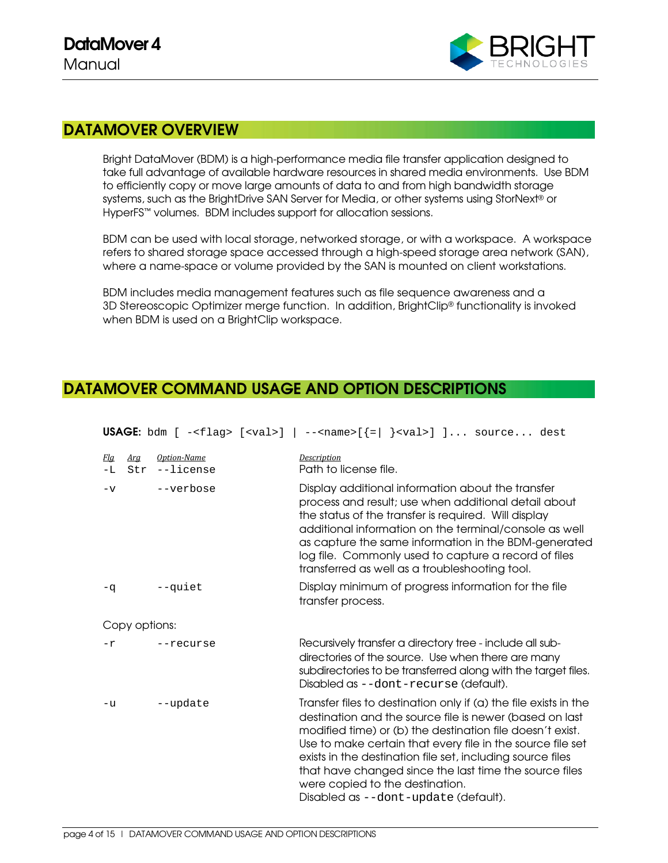

## DATAMOVER OVERVIEW

Bright DataMover (BDM) is a high-performance media file transfer application designed to take full advantage of available hardware resources in shared media environments. Use BDM to efficiently copy or move large amounts of data to and from high bandwidth storage systems, such as the BrightDrive SAN Server for Media, or other systems using StorNext® or HyperFS™ volumes. BDM includes support for allocation sessions.

BDM can be used with local storage, networked storage, or with a workspace. A workspace refers to shared storage space accessed through a high-speed storage area network (SAN), where a name-space or volume provided by the SAN is mounted on client workstations.

BDM includes media management features such as file sequence awareness and a 3D Stereoscopic Optimizer merge function. In addition, BrightClip® functionality is invoked when BDM is used on a BrightClip workspace.

## DATAMOVER COMMAND USAGE AND OPTION DESCRIPTIONS

**USAGE:** bdm  $[ -\text{cflag} > [ \text{eval} > ] - \text{chame} > [ - ] \text{eval} > ] ...$  source... dest

| <u>Fla</u><br>$-L$ | Arg<br>Str | Option-Name<br>--license | Description<br>Path to license file.                                                                                                                                                                                                                                                                                                                                                                                                                      |
|--------------------|------------|--------------------------|-----------------------------------------------------------------------------------------------------------------------------------------------------------------------------------------------------------------------------------------------------------------------------------------------------------------------------------------------------------------------------------------------------------------------------------------------------------|
| $-\nabla$          |            | --verbose                | Display additional information about the transfer<br>process and result; use when additional detail about<br>the status of the transfer is required. Will display<br>additional information on the terminal/console as well<br>as capture the same information in the BDM-generated<br>log file. Commonly used to capture a record of files<br>transferred as well as a troubleshooting tool.                                                             |
| $-q$               |            | --quiet                  | Display minimum of progress information for the file<br>transfer process.                                                                                                                                                                                                                                                                                                                                                                                 |
| Copy options:      |            |                          |                                                                                                                                                                                                                                                                                                                                                                                                                                                           |
| $-r$               |            | $--recurse$              | Recursively transfer a directory tree - include all sub-<br>directories of the source. Use when there are many<br>subdirectories to be transferred along with the target files.<br>Disabled as --dont-recurse (default).                                                                                                                                                                                                                                  |
| $-u$               |            | --update                 | Transfer files to destination only if (a) the file exists in the<br>destination and the source file is newer (based on last<br>modified time) or (b) the destination file doesn't exist.<br>Use to make certain that every file in the source file set<br>exists in the destination file set, including source files<br>that have changed since the last time the source files<br>were copied to the destination.<br>Disabled as --dont-update (default). |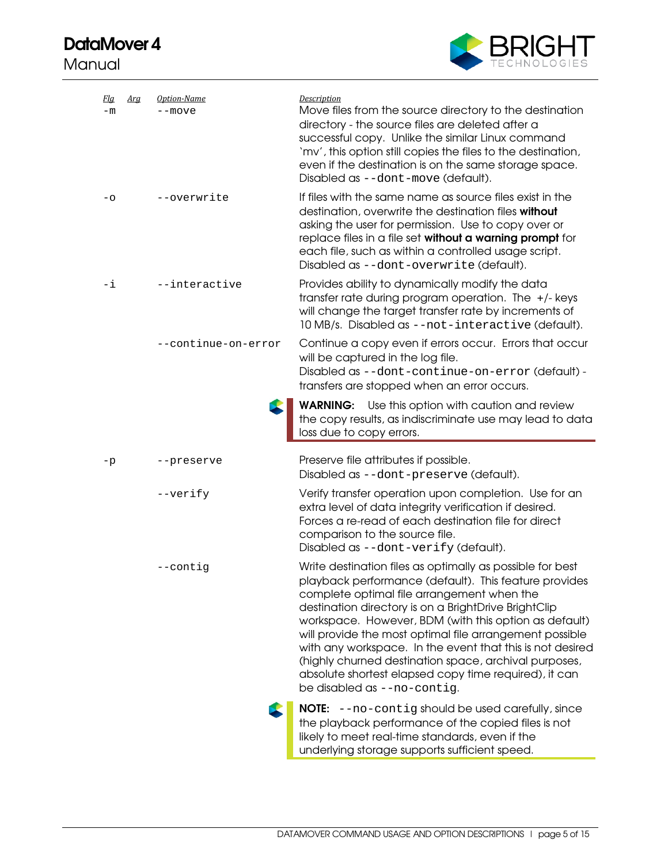# DataMover 4

Manual



| <u>Fla</u><br>$-m$ | <u>Arg</u> | Option-Name<br>--move | <b>Description</b><br>Move files from the source directory to the destination<br>directory - the source files are deleted after a<br>successful copy. Unlike the similar Linux command<br>'mv', this option still copies the files to the destination,<br>even if the destination is on the same storage space.<br>Disabled as --dont-move (default).                                                                                                                                                                                                      |
|--------------------|------------|-----------------------|------------------------------------------------------------------------------------------------------------------------------------------------------------------------------------------------------------------------------------------------------------------------------------------------------------------------------------------------------------------------------------------------------------------------------------------------------------------------------------------------------------------------------------------------------------|
| $-\circ$           |            | --overwrite           | If files with the same name as source files exist in the<br>destination, overwrite the destination files without<br>asking the user for permission. Use to copy over or<br>replace files in a file set without a warning prompt for<br>each file, such as within a controlled usage script.<br>Disabled as --dont-overwrite (default).                                                                                                                                                                                                                     |
| -i                 |            | --interactive         | Provides ability to dynamically modify the data<br>transfer rate during program operation. The $+/-$ keys<br>will change the target transfer rate by increments of<br>10 MB/s. Disabled as --not-interactive (default).                                                                                                                                                                                                                                                                                                                                    |
|                    |            | --continue-on-error   | Continue a copy even if errors occur. Errors that occur<br>will be captured in the log file.<br>Disabled as --dont-continue-on-error (default) -<br>transfers are stopped when an error occurs.                                                                                                                                                                                                                                                                                                                                                            |
|                    |            |                       | <b>WARNING:</b> Use this option with caution and review<br>the copy results, as indiscriminate use may lead to data<br>loss due to copy errors.                                                                                                                                                                                                                                                                                                                                                                                                            |
| -p                 |            | --preserve            | Preserve file attributes if possible.<br>Disabled as --dont-preserve (default).                                                                                                                                                                                                                                                                                                                                                                                                                                                                            |
|                    |            | --verify              | Verify transfer operation upon completion. Use for an<br>extra level of data integrity verification if desired.<br>Forces a re-read of each destination file for direct<br>comparison to the source file.<br>Disabled as --dont-verify (default).                                                                                                                                                                                                                                                                                                          |
|                    |            | --contig              | Write destination files as optimally as possible for best<br>playback performance (default). This feature provides<br>complete optimal file arrangement when the<br>destination directory is on a BrightDrive BrightClip<br>workspace. However, BDM (with this option as default)<br>will provide the most optimal file arrangement possible<br>with any workspace. In the event that this is not desired<br>(highly churned destination space, archival purposes,<br>absolute shortest elapsed copy time required), it can<br>be disabled as --no-contig. |
|                    |            |                       | <b>NOTE:</b> --no-contig should be used carefully, since<br>the playback performance of the copied files is not<br>likely to meet real-time standards, even if the<br>underlying storage supports sufficient speed.                                                                                                                                                                                                                                                                                                                                        |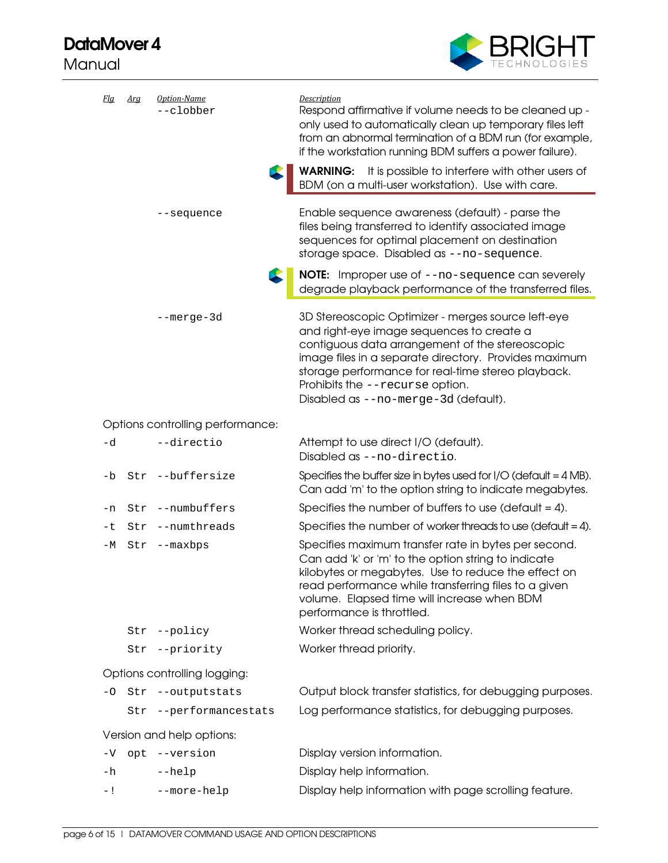# DataMover 4

Manual



| <u>Fla</u>                   | Arg | Option-Name<br>--clobber         | <b>Description</b><br>Respond affirmative if volume needs to be cleaned up -<br>only used to automatically clean up temporary files left<br>from an abnormal termination of a BDM run (for example,<br>if the workstation running BDM suffers a power failure).                                                                              |
|------------------------------|-----|----------------------------------|----------------------------------------------------------------------------------------------------------------------------------------------------------------------------------------------------------------------------------------------------------------------------------------------------------------------------------------------|
|                              |     |                                  | <b>WARNING:</b> It is possible to interfere with other users of<br>BDM (on a multi-user workstation). Use with care.                                                                                                                                                                                                                         |
|                              |     | --sequence                       | Enable sequence awareness (default) - parse the<br>files being transferred to identify associated image<br>sequences for optimal placement on destination<br>storage space. Disabled as --no-sequence.                                                                                                                                       |
|                              |     |                                  | <b>NOTE:</b> Improper use of --no-sequence can severely<br>degrade playback performance of the transferred files.                                                                                                                                                                                                                            |
|                              |     | --merge-3d                       | 3D Stereoscopic Optimizer - merges source left-eye<br>and right-eye image sequences to create a<br>contiguous data arrangement of the stereoscopic<br>image files in a separate directory. Provides maximum<br>storage performance for real-time stereo playback.<br>Prohibits the --recurse option.<br>Disabled as --no-merge-3d (default). |
|                              |     | Options controlling performance: |                                                                                                                                                                                                                                                                                                                                              |
| -d                           |     | --directio                       | Attempt to use direct I/O (default).<br>Disabled as --no-directio.                                                                                                                                                                                                                                                                           |
| -b                           |     | Str --buffersize                 | Specifies the buffer size in bytes used for $I/O$ (default = $4 MB$ ).<br>Can add 'm' to the option string to indicate megabytes.                                                                                                                                                                                                            |
| -n                           | Str | --numbuffers                     | Specifies the number of buffers to use (default $= 4$ ).                                                                                                                                                                                                                                                                                     |
| -t                           | Str | --numthreads                     | Specifies the number of worker threads to use (default = 4).                                                                                                                                                                                                                                                                                 |
| –М                           | Str | --maxbps                         | Specifies maximum transfer rate in bytes per second.<br>Can add 'k' or 'm' to the option string to indicate<br>kilobytes or megabytes. Use to reduce the effect on<br>read performance while transferring files to a given<br>volume. Elapsed time will increase when BDM<br>performance is throttled.                                       |
|                              |     | Str --policy                     | Worker thread scheduling policy.                                                                                                                                                                                                                                                                                                             |
|                              |     | Str --priority                   | Worker thread priority.                                                                                                                                                                                                                                                                                                                      |
| Options controlling logging: |     |                                  |                                                                                                                                                                                                                                                                                                                                              |
| -0                           |     | Str --outputstats                | Output block transfer statistics, for debugging purposes.                                                                                                                                                                                                                                                                                    |
|                              | Str | --performancestats               | Log performance statistics, for debugging purposes.                                                                                                                                                                                                                                                                                          |
|                              |     | Version and help options:        |                                                                                                                                                                                                                                                                                                                                              |
| $-V$                         |     | opt --version                    | Display version information.                                                                                                                                                                                                                                                                                                                 |
| -h                           |     | $-\text{help}$                   | Display help information.                                                                                                                                                                                                                                                                                                                    |
| - !                          |     | --more-help                      | Display help information with page scrolling feature.                                                                                                                                                                                                                                                                                        |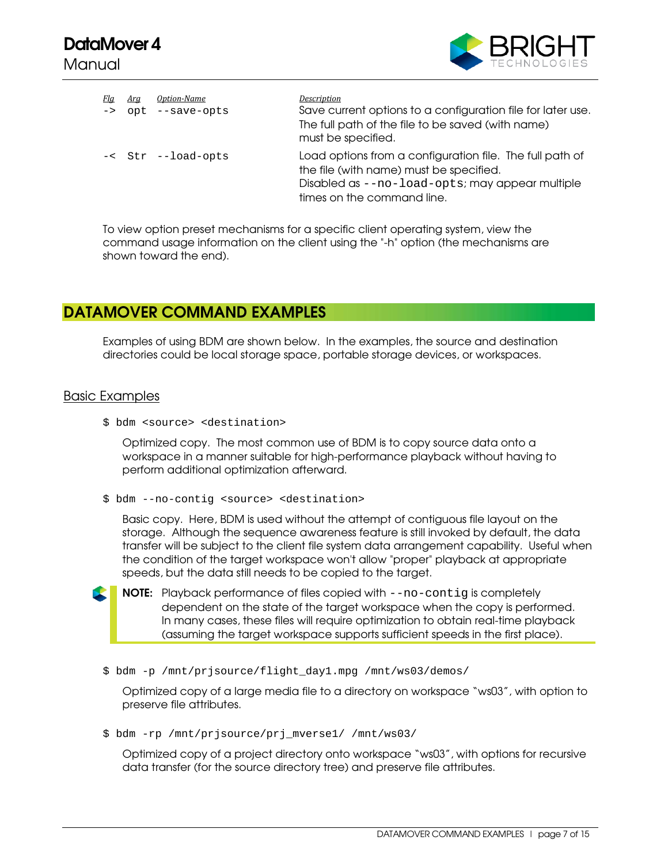

| <u>Fla</u><br>$\rightarrow$ | Arg | Option-Name<br>opt --save-opts | Description<br>Save current options to a configuration file for later use.<br>The full path of the file to be saved (with name)<br>must be specified.                                |
|-----------------------------|-----|--------------------------------|--------------------------------------------------------------------------------------------------------------------------------------------------------------------------------------|
|                             |     | -< Str --load-opts             | Load options from a configuration file. The full path of<br>the file (with name) must be specified.<br>Disabled as --no-load-opts; may appear multiple<br>times on the command line. |

To view option preset mechanisms for a specific client operating system, view the command usage information on the client using the "-h" option (the mechanisms are shown toward the end).

## DATAMOVER COMMAND EXAMPLES

Examples of using BDM are shown below. In the examples, the source and destination directories could be local storage space, portable storage devices, or workspaces.

#### Basic Examples

\$ bdm <source> <destination>

Optimized copy. The most common use of BDM is to copy source data onto a workspace in a manner suitable for high-performance playback without having to perform additional optimization afterward.

\$ bdm --no-contig <source> <destination>

Basic copy. Here, BDM is used without the attempt of contiguous file layout on the storage. Although the sequence awareness feature is still invoked by default, the data transfer will be subject to the client file system data arrangement capability. Useful when the condition of the target workspace won't allow "proper" playback at appropriate speeds, but the data still needs to be copied to the target.

NOTE: Playback performance of files copied with --no-contig is completely dependent on the state of the target workspace when the copy is performed. In many cases, these files will require optimization to obtain real-time playback (assuming the target workspace supports sufficient speeds in the first place).

\$ bdm -p /mnt/prjsource/flight\_day1.mpg /mnt/ws03/demos/

Optimized copy of a large media file to a directory on workspace "ws03", with option to preserve file attributes.

\$ bdm -rp /mnt/prjsource/prj\_mverse1/ /mnt/ws03/

Optimized copy of a project directory onto workspace "ws03", with options for recursive data transfer (for the source directory tree) and preserve file attributes.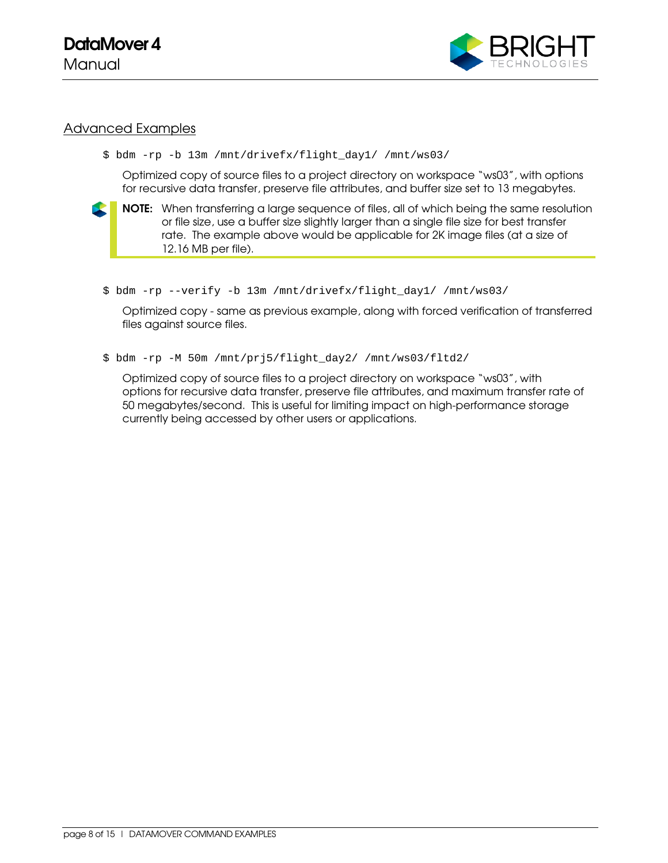

### Advanced Examples

```
$ bdm -rp -b 13m /mnt/drivefx/flight_day1/ /mnt/ws03/
```
Optimized copy of source files to a project directory on workspace "ws03", with options for recursive data transfer, preserve file attributes, and buffer size set to 13 megabytes.



NOTE: When transferring a large sequence of files, all of which being the same resolution or file size, use a buffer size slightly larger than a single file size for best transfer rate. The example above would be applicable for 2K image files (at a size of 12.16 MB per file).

\$ bdm -rp --verify -b 13m /mnt/drivefx/flight\_day1/ /mnt/ws03/

Optimized copy - same as previous example, along with forced verification of transferred files against source files.

\$ bdm -rp -M 50m /mnt/prj5/flight\_day2/ /mnt/ws03/fltd2/

Optimized copy of source files to a project directory on workspace "ws03", with options for recursive data transfer, preserve file attributes, and maximum transfer rate of 50 megabytes/second. This is useful for limiting impact on high-performance storage currently being accessed by other users or applications.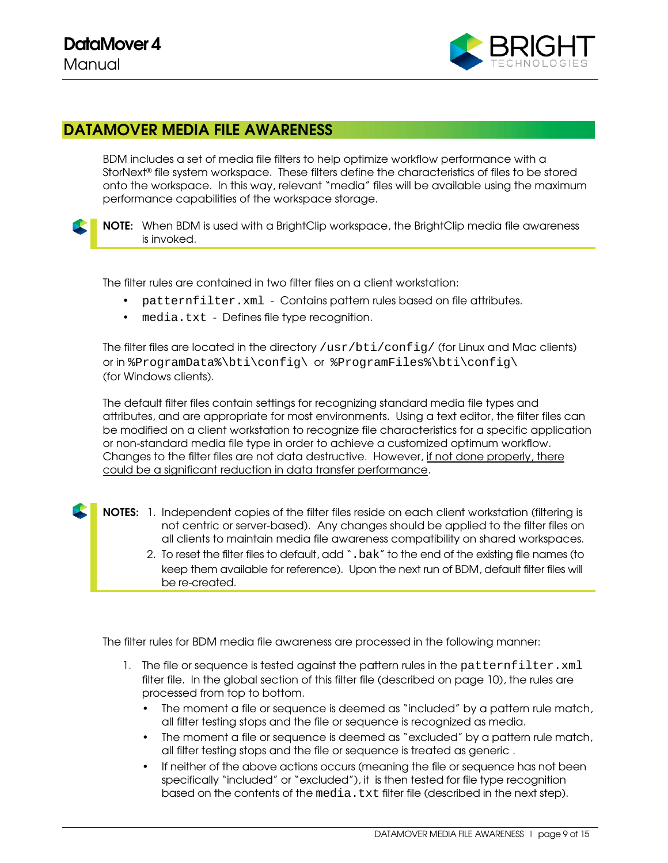

## DATAMOVER MEDIA FILE AWARENESS

BDM includes a set of media file filters to help optimize workflow performance with a StorNext® file system workspace. These filters define the characteristics of files to be stored onto the workspace. In this way, relevant "media" files will be available using the maximum performance capabilities of the workspace storage.

NOTE: When BDM is used with a BrightClip workspace, the BrightClip media file awareness is invoked.

The filter rules are contained in two filter files on a client workstation:

- patternfilter.xml Contains pattern rules based on file attributes.
- media.txt Defines file type recognition.

The filter files are located in the directory /usr/bti/config/ (for Linux and Mac clients) or in %ProgramData%\bti\config\ or %ProgramFiles%\bti\config\ (for Windows clients).

The default filter files contain settings for recognizing standard media file types and attributes, and are appropriate for most environments. Using a text editor, the filter files can be modified on a client workstation to recognize file characteristics for a specific application or non-standard media file type in order to achieve a customized optimum workflow. Changes to the filter files are not data destructive. However, if not done properly, there could be a significant reduction in data transfer performance.

- NOTES: 1. Independent copies of the filter files reside on each client workstation (filtering is not centric or server-based). Any changes should be applied to the filter files on all clients to maintain media file awareness compatibility on shared workspaces.
	- 2. To reset the filter files to default, add ".bak" to the end of the existing file names (to keep them available for reference). Upon the next run of BDM, default filter files will be re-created.

The filter rules for BDM media file awareness are processed in the following manner:

- 1. The file or sequence is tested against the pattern rules in the patternfilter. xml filter file. In the global section of this filter file (described on page 10), the rules are processed from top to bottom.
	- The moment a file or sequence is deemed as "included" by a pattern rule match, all filter testing stops and the file or sequence is recognized as media.
	- The moment a file or sequence is deemed as "excluded" by a pattern rule match, all filter testing stops and the file or sequence is treated as generic .
	- If neither of the above actions occurs (meaning the file or sequence has not been specifically "included" or "excluded"), it is then tested for file type recognition based on the contents of the media.txt filter file (described in the next step).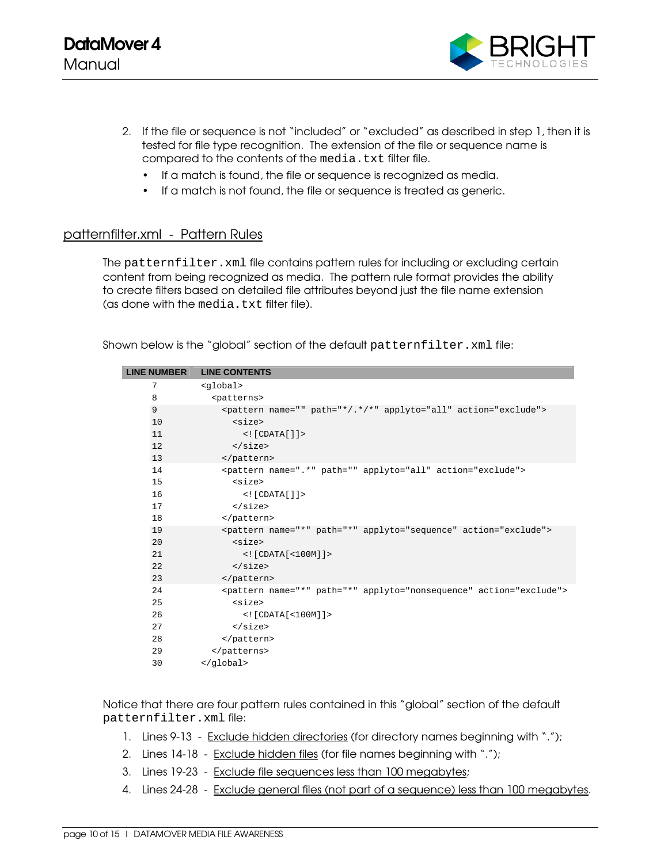

- 2. If the file or sequence is not "included" or "excluded" as described in step 1, then it is tested for file type recognition. The extension of the file or sequence name is compared to the contents of the media.txt filter file.
	- If a match is found, the file or sequence is recognized as media.
	- If a match is not found, the file or sequence is treated as generic.

### patternfilter.xml - Pattern Rules

The patternfilter.xml file contains pattern rules for including or excluding certain content from being recognized as media. The pattern rule format provides the ability to create filters based on detailed file attributes beyond just the file name extension (as done with the media.txt filter file).

Shown below is the "global" section of the default patternfilter.xml file:

| <b>LINE NUMBER</b> | <b>LINE CONTENTS</b>                                                         |
|--------------------|------------------------------------------------------------------------------|
| 7                  | <global></global>                                                            |
| 8                  | <patterns></patterns>                                                        |
| 9                  | <pattern action="exclude" applyto="all" name="" path="*/.*/*"></pattern>     |
| 10                 | $<$ size $>$                                                                 |
| 11                 | $\langle$ [ $CDATA[]$ ] $\rangle$                                            |
| 12                 | $\langle$ /size>                                                             |
| 13                 |                                                                              |
| 14                 | <pattern action="exclude" applyto="all" name=".*" path=""></pattern>         |
| 15                 | $<$ size $>$                                                                 |
| 16                 | $\langle$ [ $CDATA[]$ ] $\rangle$                                            |
| 17                 | $\langle$ size>                                                              |
| 18                 |                                                                              |
| 19                 | <pattern action="exclude" applyto="sequence" name="*" path="*"></pattern>    |
| 20                 | $<$ size $>$                                                                 |
| 21                 | $\lt$ ! [CDATA [ $\lt$ 100M] ] $>$                                           |
| 22                 | $\langle$ /size>                                                             |
| 23                 |                                                                              |
| 24                 | <pattern action="exclude" applyto="nonsequence" name="*" path="*"></pattern> |
| 25                 | $<$ size $>$                                                                 |
| 26                 | $\lt$ ! [CDATA [ $\lt$ 100M] ] >                                             |
| 27                 | $\langle$ size>                                                              |
| 28                 |                                                                              |
| 29                 |                                                                              |
| 30                 |                                                                              |
|                    |                                                                              |

Notice that there are four pattern rules contained in this "global" section of the default patternfilter.xml file:

- 1. Lines 9-13 Exclude hidden directories (for directory names beginning with ".");
- 2. Lines 14-18 Exclude hidden files (for file names beginning with ".");
- 3. Lines 19-23 Exclude file sequences less than 100 megabytes;
- 4. Lines 24-28 Exclude general files (not part of a sequence) less than 100 megabytes.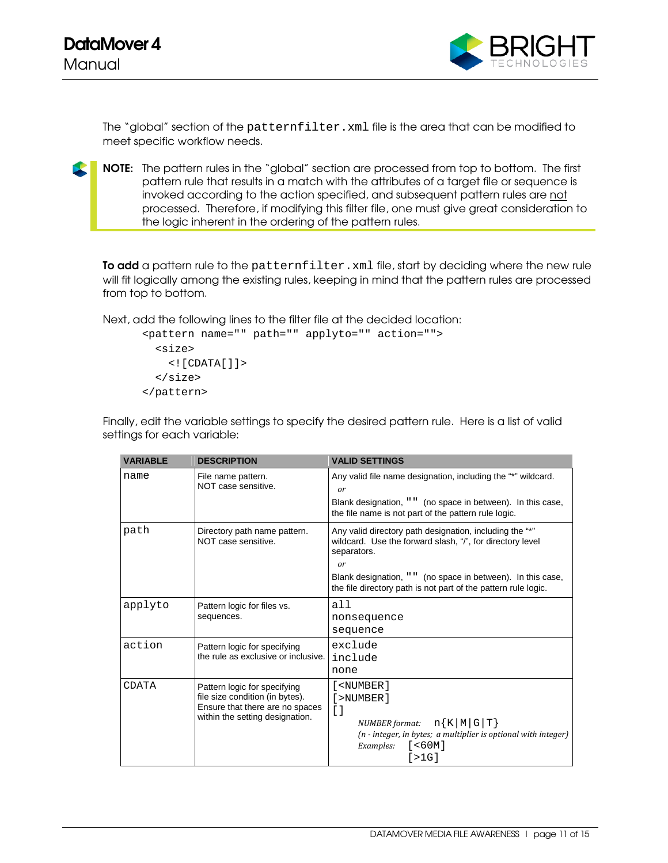

The "global" section of the patternfilter.xml file is the area that can be modified to meet specific workflow needs.

NOTE: The pattern rules in the "global" section are processed from top to bottom. The first pattern rule that results in a match with the attributes of a target file or sequence is invoked according to the action specified, and subsequent pattern rules are not processed. Therefore, if modifying this filter file, one must give great consideration to the logic inherent in the ordering of the pattern rules.

To add a pattern rule to the patternfilter. xml file, start by deciding where the new rule will fit logically among the existing rules, keeping in mind that the pattern rules are processed from top to bottom.

Next, add the following lines to the filter file at the decided location:

```
<pattern name="" path="" applyto="" action=""> 
   <size> 
     <![CDATA[]]> 
   </size> 
</pattern>
```
Finally, edit the variable settings to specify the desired pattern rule. Here is a list of valid settings for each variable:

| <b>VARIABLE</b> | <b>DESCRIPTION</b>                                                                                                                    | <b>VALID SETTINGS</b>                                                                                                                                                                                                                                                      |
|-----------------|---------------------------------------------------------------------------------------------------------------------------------------|----------------------------------------------------------------------------------------------------------------------------------------------------------------------------------------------------------------------------------------------------------------------------|
| name            | File name pattern.<br>NOT case sensitive.                                                                                             | Any valid file name designation, including the "*" wildcard.<br>or<br>Blank designation, " " (no space in between). In this case,<br>the file name is not part of the pattern rule logic.                                                                                  |
| path            | Directory path name pattern.<br>NOT case sensitive.                                                                                   | Any valid directory path designation, including the "*"<br>wildcard. Use the forward slash, "/", for directory level<br>separators.<br>or<br>Blank designation, " " (no space in between). In this case,<br>the file directory path is not part of the pattern rule logic. |
| applyto         | Pattern logic for files vs.<br>sequences.                                                                                             | a11<br>nonsequence<br>sequence                                                                                                                                                                                                                                             |
| action          | Pattern logic for specifying<br>the rule as exclusive or inclusive.                                                                   | exclude<br>include<br>none                                                                                                                                                                                                                                                 |
| CDATA           | Pattern logic for specifying<br>file size condition (in bytes).<br>Ensure that there are no spaces<br>within the setting designation. | [ <number]<br>[&gt;NUMBER]<br/><math>\begin{bmatrix} 1 \end{bmatrix}</math><br/>NUMBER format: <math>nK \mid M \mid G \mid T</math><br/>(n - integer, in bytes; a multiplier is optional with integer)<br/>[ &lt; 60M ]<br/>Examples:<br/>[&gt;1G]</number]<br>            |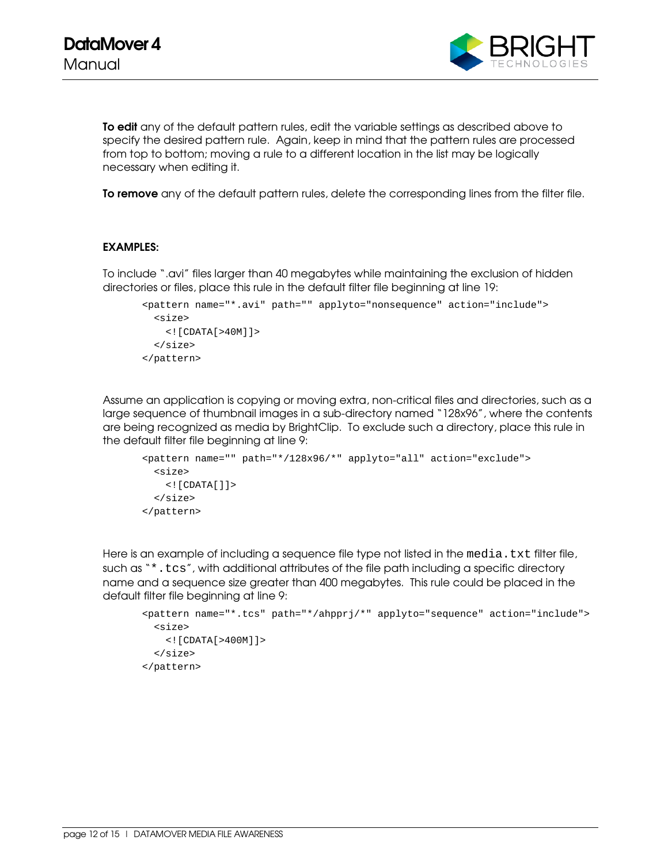

To edit any of the default pattern rules, edit the variable settings as described above to specify the desired pattern rule. Again, keep in mind that the pattern rules are processed from top to bottom; moving a rule to a different location in the list may be logically necessary when editing it.

To remove any of the default pattern rules, delete the corresponding lines from the filter file.

#### EXAMPLES:

To include ".avi" files larger than 40 megabytes while maintaining the exclusion of hidden directories or files, place this rule in the default filter file beginning at line 19:

```
<pattern name="*.avi" path="" applyto="nonsequence" action="include"> 
   <size> 
    \leq! [CDATA[>40M]]>
   </size> 
</pattern>
```
Assume an application is copying or moving extra, non-critical files and directories, such as a large sequence of thumbnail images in a sub-directory named "128x96", where the contents are being recognized as media by BrightClip. To exclude such a directory, place this rule in the default filter file beginning at line 9:

```
<pattern name="" path="*/128x96/*" applyto="all" action="exclude"> 
  <size> 
    <![CDATA[]]> 
  </size> 
</pattern>
```
Here is an example of including a sequence file type not listed in the media.txt filter file, such as "\*.tcs", with additional attributes of the file path including a specific directory name and a sequence size greater than 400 megabytes. This rule could be placed in the default filter file beginning at line 9:

```
<pattern name="*.tcs" path="*/ahpprj/*" applyto="sequence" action="include"> 
  <size> 
     <![CDATA[>400M]]> 
   </size> 
</pattern>
```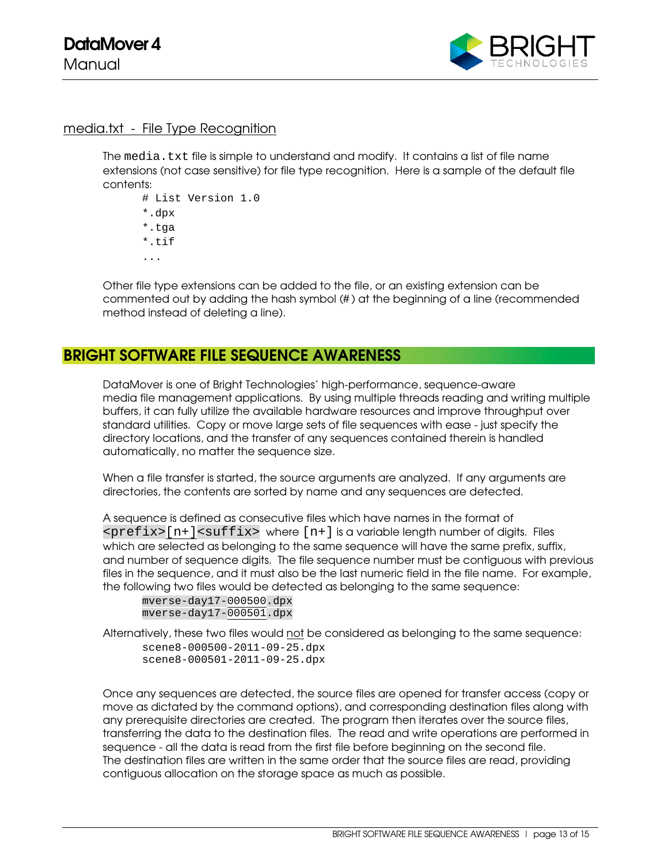

#### media.txt - File Type Recognition

The media.txt file is simple to understand and modify. It contains a list of file name extensions (not case sensitive) for file type recognition. Here is a sample of the default file contents:

# List Version 1.0 \*.dpx \*.tga \*.tif ...

Other file type extensions can be added to the file, or an existing extension can be commented out by adding the hash symbol (# ) at the beginning of a line (recommended method instead of deleting a line).

## BRIGHT SOFTWARE FILE SEQUENCE AWARENESS

DataMover is one of Bright Technologies' high-performance, sequence-aware media file management applications. By using multiple threads reading and writing multiple buffers, it can fully utilize the available hardware resources and improve throughput over standard utilities. Copy or move large sets of file sequences with ease - just specify the directory locations, and the transfer of any sequences contained therein is handled automatically, no matter the sequence size.

When a file transfer is started, the source arguments are analyzed. If any arguments are directories, the contents are sorted by name and any sequences are detected.

A sequence is defined as consecutive files which have names in the format of  $<$ p $refix$  $[$ n+ $]<$ s $uffix$  where  $[n+]$  is a variable length number of digits. Files which are selected as belonging to the same sequence will have the same prefix, suffix, and number of sequence digits. The file sequence number must be contiguous with previous files in the sequence, and it must also be the last numeric field in the file name. For example, the following two files would be detected as belonging to the same sequence:

mverse-day17-000500.dpx mverse-day17-000501.dpx

Alternatively, these two files would not be considered as belonging to the same sequence:

scene8-000500-2011-09-25.dpx scene8-000501-2011-09-25.dpx

Once any sequences are detected, the source files are opened for transfer access (copy or move as dictated by the command options), and corresponding destination files along with any prerequisite directories are created. The program then iterates over the source files, transferring the data to the destination files. The read and write operations are performed in sequence - all the data is read from the first file before beginning on the second file. The destination files are written in the same order that the source files are read, providing contiguous allocation on the storage space as much as possible.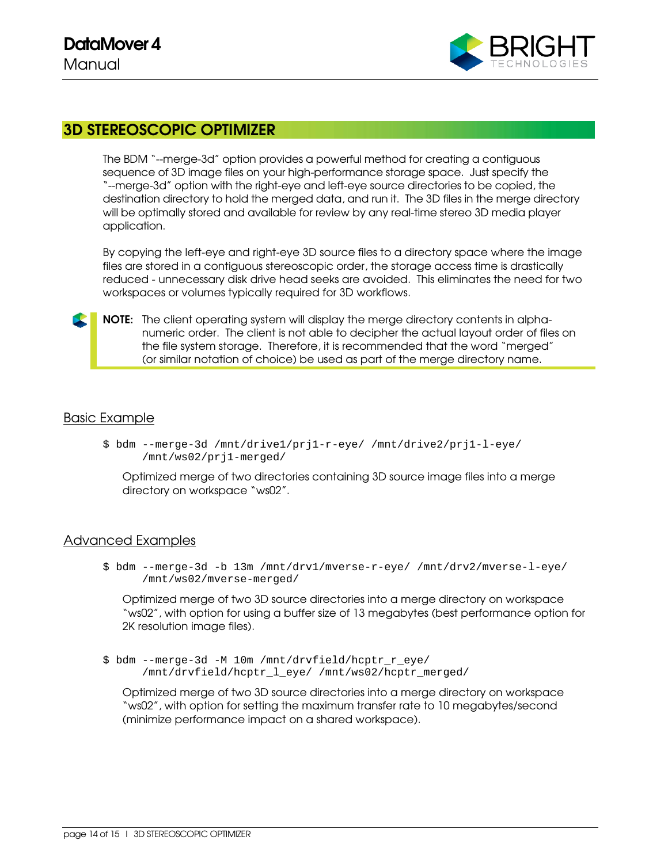

## 3D STEREOSCOPIC OPTIMIZER

The BDM "--merge-3d" option provides a powerful method for creating a contiguous sequence of 3D image files on your high-performance storage space. Just specify the "--merge-3d" option with the right-eye and left-eye source directories to be copied, the destination directory to hold the merged data, and run it. The 3D files in the merge directory will be optimally stored and available for review by any real-time stereo 3D media player application.

By copying the left-eye and right-eye 3D source files to a directory space where the image files are stored in a contiguous stereoscopic order, the storage access time is drastically reduced - unnecessary disk drive head seeks are avoided. This eliminates the need for two workspaces or volumes typically required for 3D workflows.

NOTE: The client operating system will display the merge directory contents in alphanumeric order. The client is not able to decipher the actual layout order of files on the file system storage. Therefore, it is recommended that the word "merged" (or similar notation of choice) be used as part of the merge directory name.

### Basic Example

\$ bdm --merge-3d /mnt/drive1/prj1-r-eye/ /mnt/drive2/prj1-l-eye/ /mnt/ws02/prj1-merged/

Optimized merge of two directories containing 3D source image files into a merge directory on workspace "ws02".

#### Advanced Examples

\$ bdm --merge-3d -b 13m /mnt/drv1/mverse-r-eye/ /mnt/drv2/mverse-l-eye/ /mnt/ws02/mverse-merged/

Optimized merge of two 3D source directories into a merge directory on workspace "ws02", with option for using a buffer size of 13 megabytes (best performance option for 2K resolution image files).

\$ bdm --merge-3d -M 10m /mnt/drvfield/hcptr\_r\_eye/ /mnt/drvfield/hcptr\_l\_eye/ /mnt/ws02/hcptr\_merged/

Optimized merge of two 3D source directories into a merge directory on workspace "ws02", with option for setting the maximum transfer rate to 10 megabytes/second (minimize performance impact on a shared workspace).